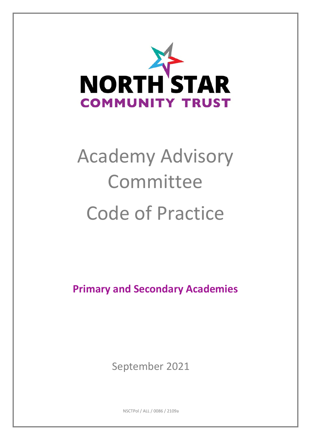

# Academy Advisory Committee Code of Practice

**Primary and Secondary Academies**

September 2021

NSCTPol / ALL / 0086 / 2109a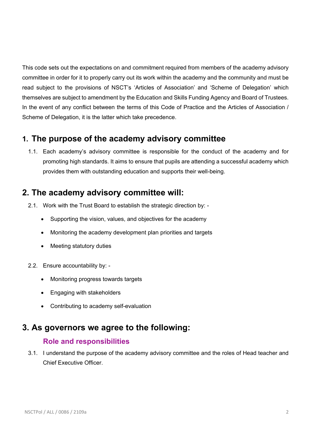This code sets out the expectations on and commitment required from members of the academy advisory committee in order for it to properly carry out its work within the academy and the community and must be read subject to the provisions of NSCT's 'Articles of Association' and 'Scheme of Delegation' which themselves are subject to amendment by the Education and Skills Funding Agency and Board of Trustees. In the event of any conflict between the terms of this Code of Practice and the Articles of Association / Scheme of Delegation, it is the latter which take precedence.

# **1. The purpose of the academy advisory committee**

1.1. Each academy's advisory committee is responsible for the conduct of the academy and for promoting high standards. It aims to ensure that pupils are attending a successful academy which provides them with outstanding education and supports their well-being.

# **2. The academy advisory committee will:**

- 2.1. Work with the Trust Board to establish the strategic direction by:
	- Supporting the vision, values, and objectives for the academy
	- Monitoring the academy development plan priorities and targets
	- Meeting statutory duties
- 2.2. Ensure accountability by:
	- Monitoring progress towards targets
	- Engaging with stakeholders
	- Contributing to academy self-evaluation

# **3. As governors we agree to the following:**

## **Role and responsibilities**

3.1. I understand the purpose of the academy advisory committee and the roles of Head teacher and Chief Executive Officer.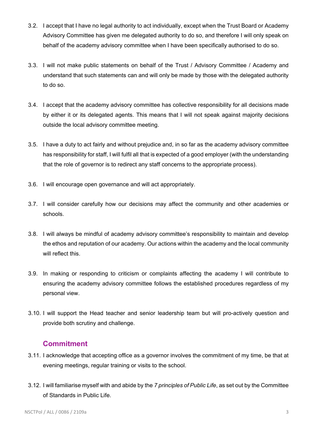- 3.2. I accept that I have no legal authority to act individually, except when the Trust Board or Academy Advisory Committee has given me delegated authority to do so, and therefore I will only speak on behalf of the academy advisory committee when I have been specifically authorised to do so.
- 3.3. I will not make public statements on behalf of the Trust / Advisory Committee / Academy and understand that such statements can and will only be made by those with the delegated authority to do so.
- 3.4. I accept that the academy advisory committee has collective responsibility for all decisions made by either it or its delegated agents. This means that I will not speak against majority decisions outside the local advisory committee meeting.
- 3.5. I have a duty to act fairly and without prejudice and, in so far as the academy advisory committee has responsibility for staff, I will fulfil all that is expected of a good employer (with the understanding that the role of governor is to redirect any staff concerns to the appropriate process).
- 3.6. I will encourage open governance and will act appropriately.
- 3.7. I will consider carefully how our decisions may affect the community and other academies or schools.
- 3.8. I will always be mindful of academy advisory committee's responsibility to maintain and develop the ethos and reputation of our academy. Our actions within the academy and the local community will reflect this.
- 3.9. In making or responding to criticism or complaints affecting the academy I will contribute to ensuring the academy advisory committee follows the established procedures regardless of my personal view.
- 3.10. I will support the Head teacher and senior leadership team but will pro-actively question and provide both scrutiny and challenge.

# **Commitment**

- 3.11. I acknowledge that accepting office as a governor involves the commitment of my time, be that at evening meetings, regular training or visits to the school.
- 3.12. I will familiarise myself with and abide by the *7 principles of Public Life*, as set out by the Committee of Standards in Public Life.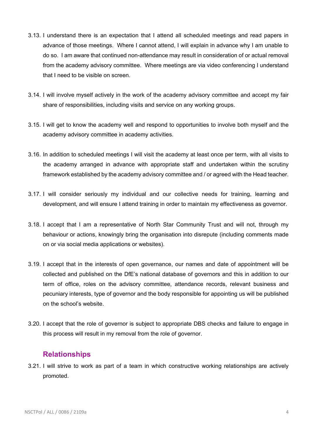- 3.13. I understand there is an expectation that I attend all scheduled meetings and read papers in advance of those meetings. Where I cannot attend, I will explain in advance why I am unable to do so. I am aware that continued non-attendance may result in consideration of or actual removal from the academy advisory committee. Where meetings are via video conferencing I understand that I need to be visible on screen.
- 3.14. I will involve myself actively in the work of the academy advisory committee and accept my fair share of responsibilities, including visits and service on any working groups.
- 3.15. I will get to know the academy well and respond to opportunities to involve both myself and the academy advisory committee in academy activities.
- 3.16. In addition to scheduled meetings I will visit the academy at least once per term, with all visits to the academy arranged in advance with appropriate staff and undertaken within the scrutiny framework established by the academy advisory committee and / or agreed with the Head teacher.
- 3.17. I will consider seriously my individual and our collective needs for training, learning and development, and will ensure I attend training in order to maintain my effectiveness as governor.
- 3.18. I accept that I am a representative of North Star Community Trust and will not, through my behaviour or actions, knowingly bring the organisation into disrepute (including comments made on or via social media applications or websites).
- 3.19. I accept that in the interests of open governance, our names and date of appointment will be collected and published on the DfE's national database of governors and this in addition to our term of office, roles on the advisory committee, attendance records, relevant business and pecuniary interests, type of governor and the body responsible for appointing us will be published on the school's website.
- 3.20. I accept that the role of governor is subject to appropriate DBS checks and failure to engage in this process will result in my removal from the role of governor.

## **Relationships**

3.21. I will strive to work as part of a team in which constructive working relationships are actively promoted.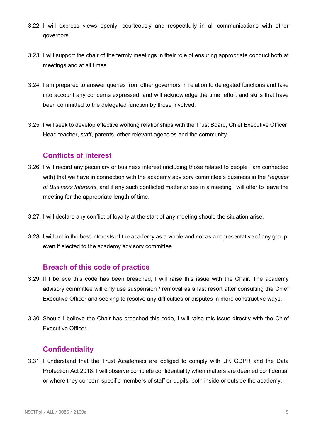- 3.22. I will express views openly, courteously and respectfully in all communications with other governors.
- 3.23. I will support the chair of the termly meetings in their role of ensuring appropriate conduct both at meetings and at all times.
- 3.24. I am prepared to answer queries from other governors in relation to delegated functions and take into account any concerns expressed, and will acknowledge the time, effort and skills that have been committed to the delegated function by those involved.
- 3.25. I will seek to develop effective working relationships with the Trust Board, Chief Executive Officer, Head teacher, staff, parents, other relevant agencies and the community.

## **Conflicts of interest**

- 3.26. I will record any pecuniary or business interest (including those related to people I am connected with) that we have in connection with the academy advisory committee's business in the *Register of Business Interests*, and if any such conflicted matter arises in a meeting I will offer to leave the meeting for the appropriate length of time.
- 3.27. I will declare any conflict of loyalty at the start of any meeting should the situation arise.
- 3.28. I will act in the best interests of the academy as a whole and not as a representative of any group, even if elected to the academy advisory committee.

## **Breach of this code of practice**

- 3.29. If I believe this code has been breached, I will raise this issue with the Chair. The academy advisory committee will only use suspension / removal as a last resort after consulting the Chief Executive Officer and seeking to resolve any difficulties or disputes in more constructive ways.
- 3.30. Should I believe the Chair has breached this code, I will raise this issue directly with the Chief Executive Officer.

## **Confidentiality**

3.31. I understand that the Trust Academies are obliged to comply with UK GDPR and the Data Protection Act 2018. I will observe complete confidentiality when matters are deemed confidential or where they concern specific members of staff or pupils, both inside or outside the academy.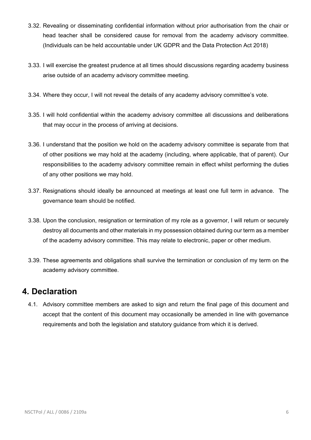- 3.32. Revealing or disseminating confidential information without prior authorisation from the chair or head teacher shall be considered cause for removal from the academy advisory committee. (Individuals can be held accountable under UK GDPR and the Data Protection Act 2018)
- 3.33. I will exercise the greatest prudence at all times should discussions regarding academy business arise outside of an academy advisory committee meeting.
- 3.34. Where they occur, I will not reveal the details of any academy advisory committee's vote.
- 3.35. I will hold confidential within the academy advisory committee all discussions and deliberations that may occur in the process of arriving at decisions.
- 3.36. I understand that the position we hold on the academy advisory committee is separate from that of other positions we may hold at the academy (including, where applicable, that of parent). Our responsibilities to the academy advisory committee remain in effect whilst performing the duties of any other positions we may hold.
- 3.37. Resignations should ideally be announced at meetings at least one full term in advance. The governance team should be notified.
- 3.38. Upon the conclusion, resignation or termination of my role as a governor, I will return or securely destroy all documents and other materials in my possession obtained during our term as a member of the academy advisory committee. This may relate to electronic, paper or other medium.
- 3.39. These agreements and obligations shall survive the termination or conclusion of my term on the academy advisory committee.

# **4. Declaration**

4.1. Advisory committee members are asked to sign and return the final page of this document and accept that the content of this document may occasionally be amended in line with governance requirements and both the legislation and statutory guidance from which it is derived.